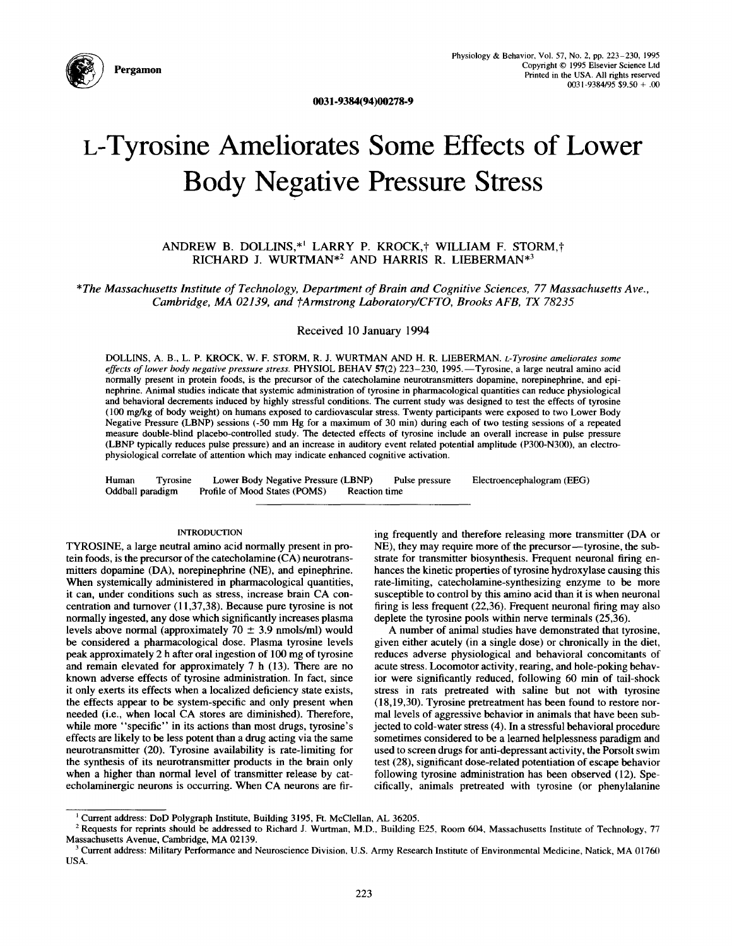

**0031-9384(94)00278-9** 

# **L-Tyrosine Ameliorates Some Effects of Lower Body Negative Pressure Stress**

# ANDREW B. DOLLINS,\*<sup>1</sup> LARRY P. KROCK,† WILLIAM F. STORM,† RICHARD J. WURTMAN<sup>\*2</sup> AND HARRIS R. LIEBERMAN<sup>\*3</sup>

*\*The Massachusetts Institute of Technology, Department of Brain and Cognitive Sciences, 77 Massachusetts Ave.,*  Cambridge, MA 02139, and †Armstrong Laboratory/CFTO, Brooks AFB, TX 78235

Received 10 January 1994

DOLLINS, A. B., L. P. KROCK, W. F. STORM, R. J. WURTMAN AND H. R. LIEBERMAN. *L-Tyrosine ameliorates some effects of lower body negative pressure stress.* PHYSIOL BEHAV 57(2) 223-230, 1995.--Tyrosine, a large neutral amino acid normally present in protein foods, is the precursor of the catecholamine neurotransmitters dopamine, norepinephrine, and epinephrine. Animal studies indicate that systemic administration of tyrosine in pharmacological quantities can reduce physiological and behavioral decrements induced by highly stressful conditions. The current study was designed to test the effects of tyrosine (100 mg/kg of body weight) on humans exposed to cardiovascular stress. Twenty participants were exposed to two Lower Body Negative Pressure (LBNP) sessions (-50 mm Hg for a maximum of 30 min) during each of two testing sessions of a repeated measure double-blind placebo-controlled study. The detected effects of tyrosine include an overall increase in pulse pressure (LBNP typically reduces pulse pressure) and an increase in auditory event related potential amplitude (P300-N300), an electrophysiological correlate of attention which may indicate enhanced cognitive activation.

Human Tyrosine Lower Body Negative Pressure (LBNP) Pulse pressure Oddball paradigm Profile of Mood States (POMS) Reaction time Electroencephalogram (EEG)

## INTRODUCTION

TYROSINE, a large neutral amino acid normally present in protein foods, is the precursor of the catecholamine (CA) neurotransmitters dopamine (DA), norepinephrine (NE), and epinephrine. When systemically administered in pharmacological quantities, it can, under conditions such as stress, increase brain CA concentration and turnover (11,37,38). Because pure tyrosine is not normally ingested, any dose which significantly increases plasma levels above normal (approximately  $70 \pm 3.9$  nmols/ml) would be considered a pharmacological dose. Plasma tyrosine levels peak approximately 2 h after oral ingestion of 100 mg of tyrosine and remain elevated for approximately 7 h (13). There are no known adverse effects of tyrosine administration. In fact, since it only exerts its effects when a localized deficiency state exists, the effects appear to be system-specific and only present when needed (i.e., when local CA stores are diminished). Therefore, while more "specific" in its actions than most drugs, tyrosine's effects are likely to be less potent than a drug acting via the same neurotransmitter (20). Tyrosine availability is rate-limiting for the synthesis of its neurotransmitter products in the brain only when a higher than normal level of transmitter release by catecholaminergic neurons is occurring. When CA neurons are firing frequently and therefore releasing more transmitter (DA or NE), they may require more of the precursor--tyrosine, the substrate for transmitter biosynthesis. Frequent neuronal firing enhances the kinetic properties of tyrosine hydroxylase causing this rate-limiting, catecholamine-synthesizing enzyme to be more susceptible to control by this amino acid than it is when neuronal firing is less frequent (22,36). Frequent neuronal firing may also deplete the tyrosine pools within nerve terminals (25,36).

A number of animal studies have demonstrated that tyrosine, given either acutely (in a single dose) or chronically in the diet, reduces adverse physiological and behavioral concomitants of acute stress. Locomotor activity, rearing, and hole-poking behavior were significantly reduced, following 60 min of tail-shock stress in rats pretreated with saline but not with tyrosine (18,19,30). Tyrosine pretreatment has been found to restore normal levels of aggressive behavior in animals that have been subjected to cold-water stress (4). In a stressful behavioral procedure sometimes considered to be a learned helplessness paradigm and used to screen drugs for anti-depressant activity, the Porsolt swim test (28), significant dose-related potentiation of escape behavior following tyrosine administration has been observed (12). Specifically, animals pretreated with tyrosine (or phenylalanine

<sup>&</sup>lt;sup>1</sup> Current address: DoD Polygraph Institute, Building 3195, Ft. McClellan, AL 36205.

<sup>&</sup>lt;sup>2</sup> Requests for reprints should be addressed to Richard J. Wurtman, M.D., Building E25, Room 604, Massachusetts Institute of Technology, 77 Massachusetts Avenue, Cambridge, MA 02139.

<sup>&</sup>lt;sup>3</sup> Current address: Military Performance and Neuroscience Division, U.S. Army Research Institute of Environmental Medicine, Natick, MA 01760 USA.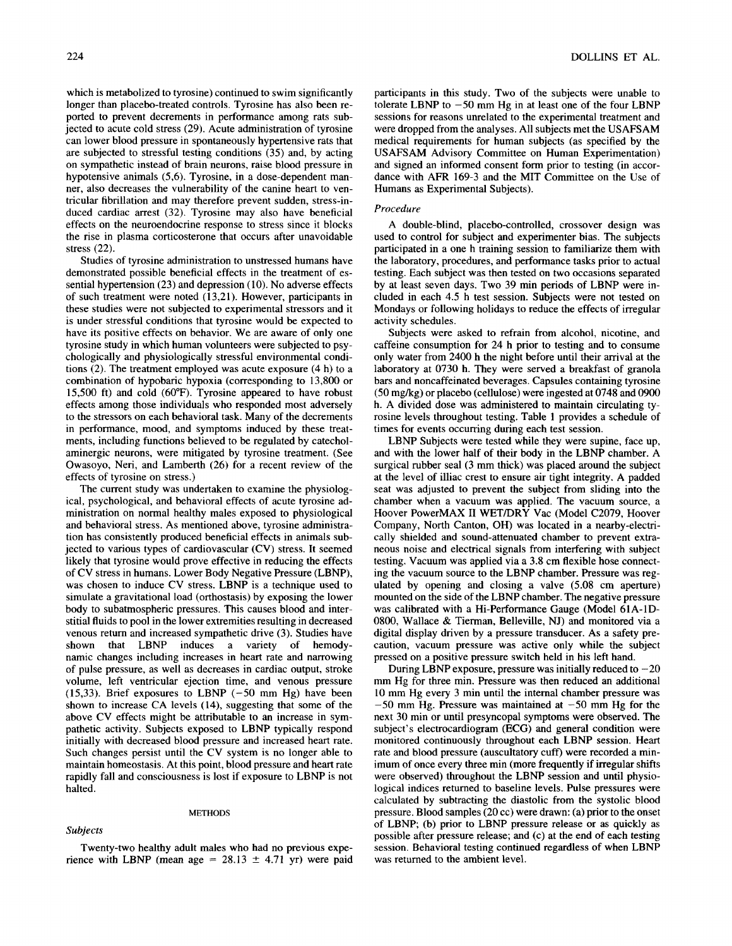which is metabolized to tyrosine) continued to swim significantly longer than placebo-treated controls. Tyrosine has also been reported to prevent decrements in performance among rats subjected to acute cold stress (29). Acute administration of tyrosine can lower blood pressure in spontaneously hypertensive rats that are subjected to stressful testing conditions (35) and, by acting on sympathetic instead of brain neurons, raise blood pressure in hypotensive animals (5,6). Tyrosine, in a dose-dependent manner, also decreases the vulnerability of the canine heart to ventricular fibrillation and may therefore prevent sudden, stress-induced cardiac arrest (32). Tyrosine may also have beneficial effects on the neuroendocrine response to stress since it blocks the rise in plasma corticosterone that occurs after unavoidable stress (22).

Studies of tyrosine administration to unstressed humans have demonstrated possible beneficial effects in the treatment of essential hypertension (23) and depression (10). No adverse effects of such treatment were noted (13,21). However, participants in these studies were not subjected to experimental stressors and it is under stressful conditions that tyrosine would be expected to have its positive effects on behavior. We are aware of only one tyrosine study in which human volunteers were subjected to psychologically and physiologically stressful environmental conditions (2). The treatment employed was acute exposure (4 h) to a combination of hypobaric hypoxia (corresponding to 13,800 or 15,500 ft) and cold  $(60^{\circ}\text{F})$ . Tyrosine appeared to have robust effects among those individuals who responded most adversely to the stressors on each behavioral task. Many of the decrements in performance, mood, and symptoms induced by these treatments, including functions believed to be regulated by catecholaminergic neurons, were mitigated by tyrosine treatment. (See Owasoyo, Neri, and Lamberth (26) for a recent review of the effects of tyrosine on stress.)

The current study was undertaken to examine the physiological, psychological, and behavioral effects of acute tyrosine administration on normal healthy males exposed to physiological and behavioral stress. As mentioned above, tyrosine administration has consistently produced beneficial effects in animals subjected to various types of cardiovascular (CV) stress. It seemed likely that tyrosine would prove effective in reducing the effects of CV stress in humans. Lower Body Negative Pressure (LBNP), was chosen to induce CV stress. LBNP is a technique used to simulate a gravitational load (orthostasis) by exposing the lower body to subatmospheric pressures. This causes blood and interstitial fluids to pool in the lower extremities resulting in decreased venous return and increased sympathetic drive (3). Studies have shown that LBNP induces a variety of hemodynamic changes including increases in heart rate and narrowing of pulse pressure, as well as decreases in cardiac output, stroke volume, left ventricular ejection time, and venous pressure  $(15,33)$ . Brief exposures to LBNP  $(-50 \text{ mm Hg})$  have been shown to increase CA levels (14), suggesting that some of the above CV effects might be attributable to an increase in sympathetic activity. Subjects exposed to LBNP typically respond initially with decreased blood pressure and increased heart rate. Such changes persist until the CV system is no longer able to maintain homeostasis. At this point, blood pressure and heart rate rapidly fall and consciousness is lost if exposure to LBNP is not halted.

#### **METHODS**

#### *Subjects*

participants in this study. Two of the subjects were unable to tolerate LBNP to  $-50$  mm Hg in at least one of the four LBNP sessions for reasons unrelated to the experimental treatment and were dropped from the analyses. All subjects met the USAFSAM medical requirements for human subjects (as specified by the USAFSAM Advisory Committee on Human Experimentation) and signed an informed consent form prior to testing (in accordance with AFR 169-3 and the MIT Committee on the Use of Humans as Experimental Subjects).

## *Procedure*

A double-blind, placebo-controlled, crossover design was used to control for subject and experimenter bias. The subjects participated in a one h training session to familiarize them with the laboratory, procedures, and performance tasks prior to actual testing. Each subject was then tested on two occasions separated by at least seven days. Two 39 min periods of LBNP were included in each 4.5 h test session. Subjects were not tested on Mondays or following holidays to reduce the effects of irregular activity schedules.

Subjects were asked to refrain from alcohol, nicotine, and caffeine consumption for 24 h prior to testing and to consume only water from 2400 h the night before until their arrival at the laboratory at 0730 h. They were served a breakfast of granola bars and noncaffeinated beverages. Capsules containing tyrosine (50 mg/kg) or placebo (cellulose) were ingested at 0748 and 0900 h. A divided dose was administered to maintain circulating tyrosine levels throughout testing. Table 1 provides a schedule of times for events occurring during each test session.

LBNP Subjects were tested while they were supine, face up, and with the lower half of their body in the LBNP chamber. A surgical rubber seal (3 mm thick) was placed around the subject at the level of illiac crest to ensure air tight integrity. A padded seat was adjusted to prevent the subject from sliding into the chamber when a vacuum was applied. The vacuum source, a Hoover PowerMAX II WET/DRY Vac (Model C2079, Hoover Company, North Canton, OH) was located in a nearby-electrically shielded and sound-attenuated chamber to prevent extraneous noise and electrical signals from interfering with subject testing. Vacuum was applied via a 3.8 cm flexible hose connecting the vacuum source to the LBNP chamber. Pressure was regulated by opening and closing a valve (5.08 cm aperture) mounted on the side of the LBNP chamber. The negative pressure was calibrated with a Hi-Performance Gauge (Model 61A-1D-0800, Wallace & Tierman, Belleville, NJ) and monitored via a digital display driven by a pressure transducer. As a safety precaution, vacuum pressure was active only while the subject pressed on a positive pressure switch held in his left hand.

During LBNP exposure, pressure was initially reduced to  $-20$ mm Hg for three min. Pressure was then reduced an additional 10 mm Hg every 3 min until the internal chamber pressure was  $-50$  mm Hg. Pressure was maintained at  $-50$  mm Hg for the next 30 min or until presyncopal symptoms were observed. The subject's electrocardiogram (ECG) and general condition were monitored continuously throughout each LBNP session. Heart rate and blood pressure (auscultatory cuff) were recorded a minimum of once every three min (more frequently if irregular shifts were observed) throughout the LBNP session and until physiological indices returned to baseline levels. Pulse pressures were calculated by subtracting the diastolic from the systolic blood pressure. Blood samples (20 cc) were drawn: (a) prior to the onset of LBNP; (b) prior to LBNP pressure release or as quickly as possible after pressure release; and (c) at the end of each testing session. Behavioral testing continued regardless of when LBNP was returned to the ambient level.

## Twenty-two healthy adult males who had no previous experience with LBNP (mean age =  $28.13 \pm 4.71$  yr) were paid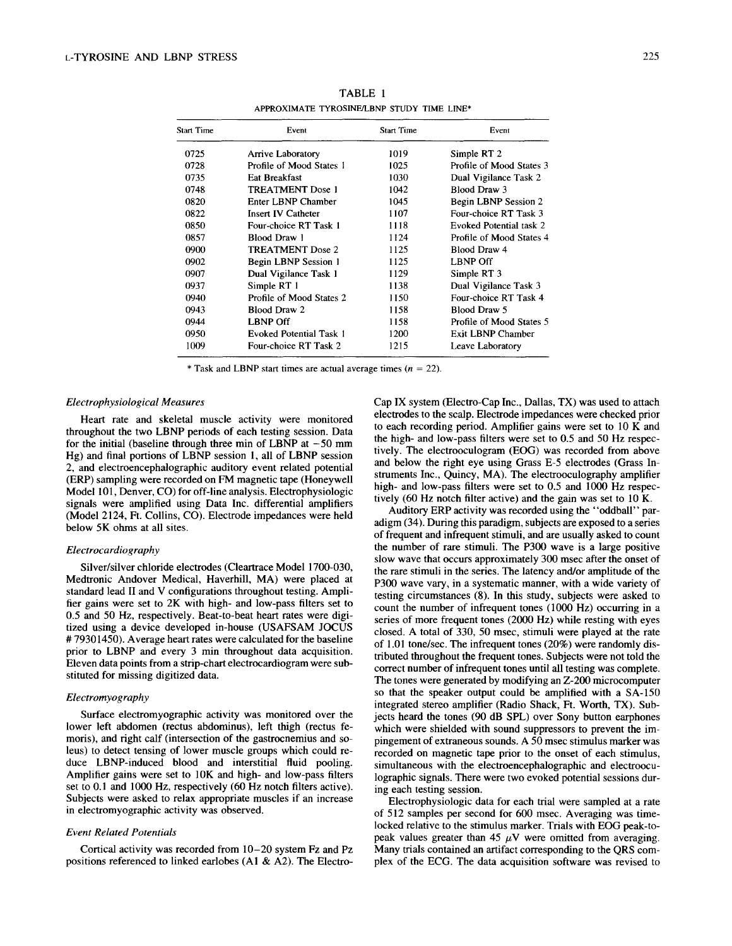| Start Time | Event                          | Start Time | Event                    |
|------------|--------------------------------|------------|--------------------------|
| 0725       | <b>Arrive Laboratory</b>       | 1019       | Simple RT 2              |
| 0728       | Profile of Mood States 1       | 1025       | Profile of Mood States 3 |
| 0735       | Eat Breakfast                  | 1030       | Dual Vigilance Task 2    |
| 0748       | <b>TREATMENT Dose 1</b>        | 1042       | Blood Draw 3             |
| 0820       | Enter LBNP Chamber             | 1045       | Begin LBNP Session 2     |
| 0822       | <b>Insert IV Catheter</b>      | 1107       | Four-choice RT Task 3    |
| 0850       | Four-choice RT Task 1          | 1118       | Evoked Potential task 2  |
| 0857       | <b>Blood Draw 1</b>            | 1124       | Profile of Mood States 4 |
| 0900       | <b>TREATMENT Dose 2</b>        | 1125       | Blood Draw 4             |
| 0902       | <b>Begin LBNP Session 1</b>    | 1125       | <b>LBNP Off</b>          |
| 0907       | Dual Vigilance Task 1          | 1129       | Simple RT 3              |
| 0937       | Simple RT 1                    | 1138       | Dual Vigilance Task 3    |
| 0940       | Profile of Mood States 2       | 1150       | Four-choice RT Task 4    |
| 0943       | Blood Draw 2                   | 1158       | <b>Blood Draw 5</b>      |
| 0944       | <b>LBNP Off</b>                | 1158       | Profile of Mood States 5 |
| 0950       | <b>Evoked Potential Task 1</b> | 1200       | Exit LBNP Chamber        |
| 1009       | Four-choice RT Task 2          | 1215       | Leave Laboratory         |

TABLE **<sup>1</sup>** APPROXIMATE TYROSINE/LBNP STUDY TIME LINE\*

\* Task and LBNP start times are actual average times ( $n = 22$ ).

## *Electrophysiological Measures*

Heart rate and skeletal muscle activity were monitored throughout the two LBNP periods of each testing session. Data for the initial (baseline through three min of LBNP at  $-50$  mm Hg) and final portions of LBNP session 1, all of LBNP session 2, and electroencephalographic auditory event related potential (ERP) sampling were recorded on FM magnetic tape (Honeywell Model 101, Denver, CO) for off-line analysis. Electrophysiologic signals were amplified using Data Inc. differential amplifiers (Model 2124, Ft. Collins, CO). Electrode impedances were held below 5K ohms at all sites.

## *Electrocardiography*

Silver/silver chloride electrodes (Cleartrace Model 1700-030, Medtronic Andover Medical, Haverhill, MA) were placed at standard lead II and V configurations throughout testing. Amplifier gains were set to 2K with high- and low-pass filters set to 0.5 and 50 Hz, respectively. Beat-to-beat heart rates were digitized using a device developed in-house (USAFSAM JOCUS # 79301450). Average heart rates were calculated for the baseline prior to LBNP and every 3 min throughout data acquisition. Eleven data points from a strip-chart electrocardiogram were substituted for missing digitized data.

#### *Electromyography*

Surface electromyographic activity was monitored over the lower left abdomen (rectus abdominus), left thigh (rectus femoris), and right calf (intersection of the gastrocnemius and soleus) to detect tensing of lower muscle groups which could reduce LBNP-induced blood and interstitial fluid pooling. Amplifier gains were set to 10K and high- and low-pass filters set to 0.1 and 1000 Hz, respectively (60 Hz notch filters active). Subjects were asked to relax appropriate muscles if an increase in electromyographic activity was observed.

#### *Event Related Potentials*

Cortical activity was recorded from 10-20 system Fz and Pz positions referenced to linked earlobes (AI & A2). The ElectroCap IX system (Electro-Cap Inc., Dallas, TX) was used to attach electrodes to the scalp. Electrode impedances were checked prior to each recording period. Amplifier gains were set to 10 K and the high- and low-pass filters were set to 0.5 and 50 Hz respectively. The electrooculogram (EOG) was recorded from above and below the right eye using Grass E-5 electrodes (Grass Instruments Inc., Quincy, MA). The electrooculography amplifier high- and low-pass filters were set to 0.5 and 1000 Hz respectively (60 Hz notch filter active) and the gain was set to  $10 \text{ K}$ .

Auditory ERP activity was recorded using the "oddball" paradigm (34). During this paradigm, subjects are exposed to a series of frequent and infrequent stimuli, and are usually asked to count the number of rare stimuli. The P300 wave is a large positive slow wave that occurs approximately 300 msec after the onset of the rare stimuli in the series. The latency and/or amplitude of the P300 wave vary, in a systematic manner, with a wide variety of testing circumstances (8). In this study, subjects were asked to count the number of infrequent tones (1000 Hz) occurring in a series of more frequent tones (2000 Hz) while resting with eyes closed. A total of 330, 50 msec, stimuli were played at the rate of 1.01 tone/sec. The infrequent tones (20%) were randomly distributed throughout the frequent tones. Subjects were not told the correct number of infrequent tones until all testing was complete. The tones were generated by modifying an Z-200 microcomputer so that the speaker output could be amplified with a SA-150 integrated stereo amplifier (Radio Shack, Ft. Worth, TX). Subjects heard the tones (90 dB SPL) over Sony button earphones which were shielded with sound suppressors to prevent the impingement of extraneous sounds. A 50 msec stimulus marker was recorded on magnetic tape prior to the onset of each stimulus, simultaneous with the electroencephalographic and electrooculographic signals. There were two evoked potential sessions during each testing session.

Electrophysiologic data for each trial were sampled at a rate of 512 samples per second for 600 msec. Averaging was timelocked relative to the stimulus marker. Trials with EOG peak-topeak values greater than 45  $\mu$ V were omitted from averaging. Many trials contained an artifact corresponding to the QRS complex of the ECG. The data acquisition software was revised to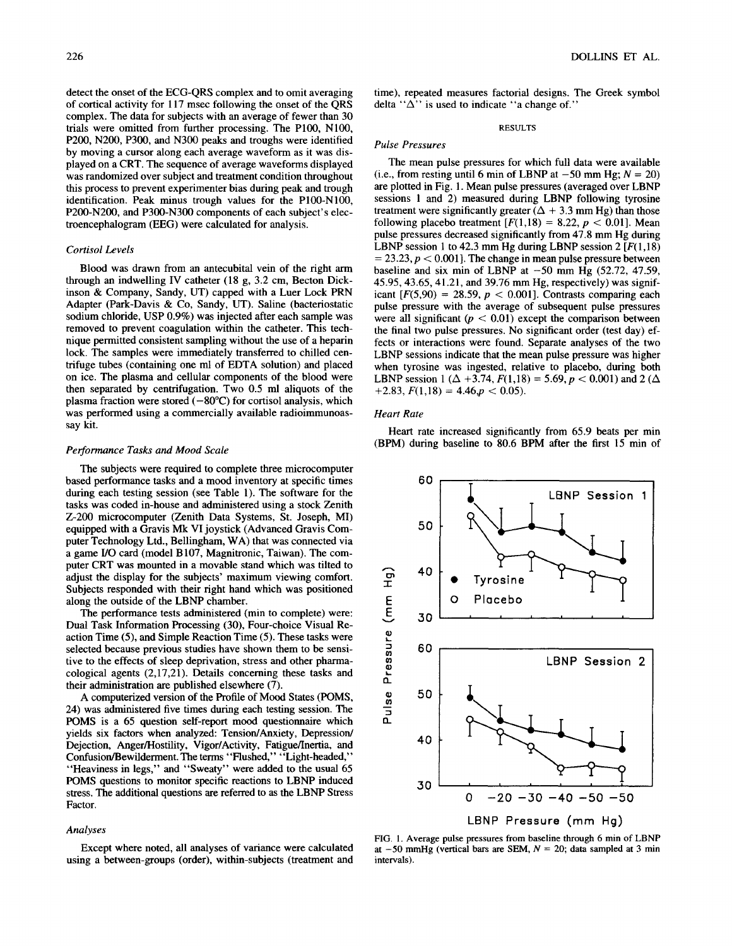detect the onset of the ECG-QRS complex and to omit averaging of cortical activity for 117 msec following the onset of the QRS complex. The data for subjects with an average of fewer than 30 trials were omitted from further processing. The P100, N100, P200, N200, P300, and N300 peaks and troughs were identified by moving a cursor along each average waveform as it was displayed on a CRT. The sequence of average waveforms displayed was randomized over subject and treatment condition throughout this process to prevent experimenter bias during peak and trough identification. Peak minus trough values for the P100-NI00, P200-N200, and P300-N300 components of each subject's electroencephalogram (EEG) were calculated for analysis.

## *Cortisol Levels*

Blood was drawn from an antecubital vein of the right arm through an indwelling IV catheter (18 g, 3.2 cm, Becton Dickinson & Company, Sandy, UT) capped with a Luer Lock PRN Adapter (Park-Davis & Co, Sandy, UT). Saline (bacteriostatic sodium chloride, USP 0.9%) was injected after each sample was removed to prevent coagulation within the catheter. This technique permitted consistent sampling without the use of a heparin lock. The samples were immediately transferred to chilled centrifuge tubes (containing one ml of EDTA solution) and placed on ice. The plasma and cellular components of the blood were then separated by centrifugation. Two 0.5 ml aliquots of the plasma fraction were stored  $(-80^{\circ}C)$  for cortisol analysis, which was performed using a commercially available radioimmunoassay kit.

#### *Performance Tasks and Mood Scale*

The subjects were required to complete three microcomputer based performance tasks and a mood inventory at specific times during each testing session (see Table 1). The software for the tasks was coded in-house and administered using a stock Zenith Z-200 microcomputer (Zenith Data Systems, St. Joseph, MI) equipped with a Gravis Mk VI joystick (Advanced Gravis Computer Technology Ltd., Bellingham, WA) that was connected via a game I/O card (model B107, Magnitronic, Taiwan). The computer CRT was mounted in a movable stand which was tilted to adjust the display for the subjects' maximum viewing comfort. Subjects responded with their right hand which was positioned along the outside of the LBNP chamber.

The performance tests administered (min to complete) were: Dual Task Information Processing (30), Four-choice Visual Reaction Time (5), and Simple Reaction Time (5). These tasks were selected because previous studies have shown them to be sensitive to the effects of sleep deprivation, stress and other pharmacological agents (2,17,21). Details concerning these tasks and their administration are published elsewhere (7).

A computerized version of the Profile of Mood States (POMS, 24) was administered five times during each testing session. The POMS is a 65 question self-report mood questionnaire which yields six factors when analyzed: Tension/Anxiety, Depression/ Dejection, Anger/Hostility, Vigor/Activity, Fatigue/Inertia, and Confusion/Bewilderment. The terms "Flushed," "Light-headed," "Heaviness in legs," and "Sweaty" were added to the usual 65 POMS questions to monitor specific reactions to LBNP induced stress. The additional questions are referred to as the LBNP Stress Factor.

#### *Analyses*

Except where noted, all analyses of variance were calculated using a between-groups (order), within-subjects (treatment and time), repeated measures factorial designs. The Greek symbol delta " $\Delta$ " is used to indicate "a change of."

#### **RESULTS**

## *Pulse Pressures*

The mean pulse pressures for which full data were available (i.e., from resting until 6 min of LBNP at  $-50$  mm Hg;  $N = 20$ ) are plotted in Fig. 1. Mean pulse pressures (averaged over LBNP sessions 1 and 2) measured during LBNP following tyrosine treatment were significantly greater  $(\Delta + 3.3 \text{ mm Hg})$  than those following placebo treatment  $[F(1,18) = 8.22, p < 0.01]$ . Mean pulse pressures decreased significantly from 47.8 mm Hg during LBNP session 1 to 42.3 mm Hg during LBNP session 2  $[F(1,18)]$  $= 23.23, p < 0.001$ . The change in mean pulse pressure between baseline and six min of LBNP at  $-50$  mm Hg (52.72, 47.59, 45.95, 43.65, 41.21, and 39.76 mm Hg, respectively) was significant  $[F(5,90) = 28.59, p < 0.001]$ . Contrasts comparing each pulse pressure with the average of subsequent pulse pressures were all significant ( $p < 0.01$ ) except the comparison between the final two pulse pressures. No significant order (test day) effects or interactions were found. Separate analyses of the two LBNP sessions indicate that the mean pulse pressure was higher when tyrosine was ingested, relative to placebo, during both LBNP session 1 ( $\Delta$  +3.74,  $F(1,18) = 5.69$ ,  $p < 0.001$ ) and 2 ( $\Delta$ )  $+2.83, F(1,18) = 4.46, p < 0.05$ .

## *Heart Rate*

Heart rate increased significantly from 65.9 beats per min (BPM) during baseline to 80.6 BPM after the first 15 min of



FIG. 1. Average pulse pressures from baseline through 6 min of LBNP at  $-50$  mmHg (vertical bars are SEM,  $N = 20$ ; data sampled at 3 min intervals).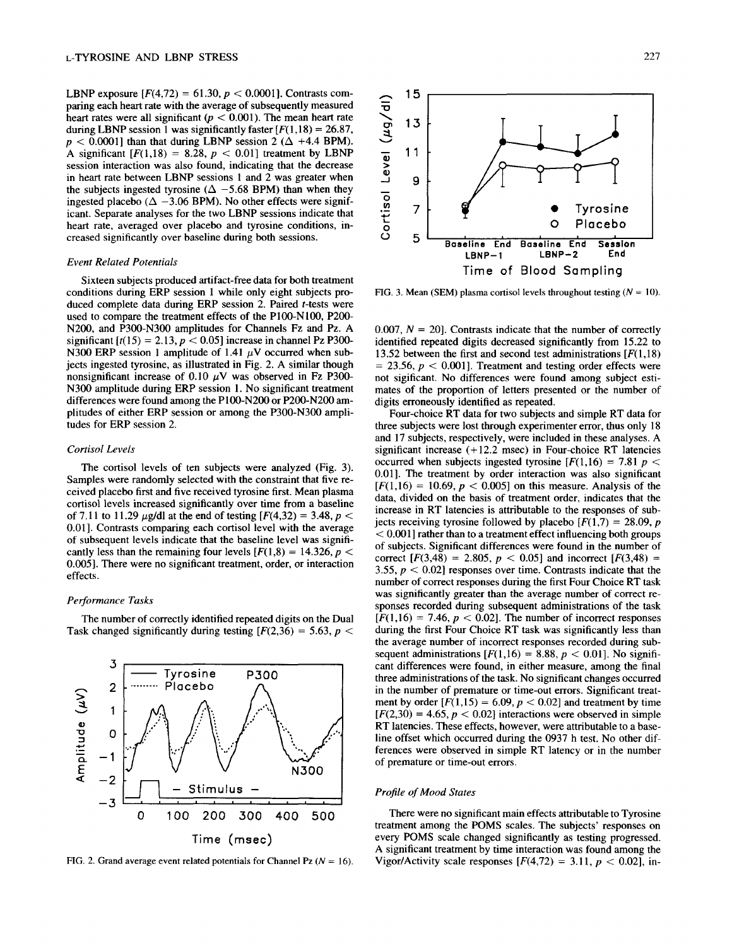LBNP exposure  $[F(4,72) = 61.30, p < 0.0001]$ . Contrasts comparing each heart rate with the average of subsequently measured heart rates were all significant ( $p < 0.001$ ). The mean heart rate during LBNP session 1 was significantly faster  $F(1, 18) = 26.87$ ,  $p < 0.0001$ ] than that during LBNP session 2 ( $\Delta$  +4.4 BPM). A significant  $[F(1,18) = 8.28, p < 0.01]$  treatment by LBNP session interaction was also found, indicating that the decrease in heart rate between LBNP sessions 1 and 2 was greater when the subjects ingested tyrosine ( $\Delta$  -5.68 BPM) than when they ingested placebo ( $\Delta$  -3.06 BPM). No other effects were significant. Separate analyses for the two LBNP sessions indicate that heart rate, averaged over placebo and tyrosine conditions, increased significantly over baseline during both sessions.

## *Event Related Potentials*

Sixteen subjects produced artifact-free data for both treatment conditions during ERP session 1 while only eight subjects produced complete data during ERP session 2. Paired t-tests were used to compare the treatment effects of the P100-NI00, P200- N200, and P300-N300 amplitudes for Channels Fz and Pz. A significant  $[t(15) = 2.13, p < 0.05]$  increase in channel Pz P300-N300 ERP session 1 amplitude of 1.41  $\mu$ V occurred when subjects ingested tyrosine, as illustrated in Fig. 2. A similar though nonsignificant increase of 0.10  $\mu$ V was observed in Fz P300-N300 amplitude during ERP session 1. No significant treatment differences were found among the P100-N200 or P200-N200 amplitudes of either ERP session or among the P300-N300 amplitudes for ERP session 2.

## *Cortisol Levels*

The cortisol levels of ten subjects were analyzed (Fig. 3). Samples were randomly selected with the constraint that five received placebo first and five received tyrosine first. Mean plasma cortisol levels increased significantly over time from a baseline of 7.11 to 11.29  $\mu$ g/dl at the end of testing [ $F(4,32) = 3.48$ ,  $p <$ 0.01]. Contrasts comparing each cortisol level with the average of subsequent levels indicate that the baseline level was significantly less than the remaining four levels  $[F(1,8) = 14.326, p <$ 0.005]. There were no significant treatment, order, or interaction effects.

## *Performance Tasks*

3

 $\mathbf{1}$ 

0 -o **0**  --I

 $-1$ 

 $-2$ 

.-, 2 .........

The number of correctly identified repeated digits on the Dual Task changed significantly during testing  $[F(2,36) = 5.63, p <$ 

Tyrosine P300<br>Placebo A

]~ **- Stimulus -**  -3 <del>I i i leta de la contenu de la contenu de la con</del>tenu de la contenu de la contenu de la contenu de la contenu<br>Il designado de la contenu de la contenu de la contenu de la contenu de la contenu de la contenu de la conte 0 100 200 300 400 500

**Time (msec)** 

**E N300** 



**~-~ 15**  "1o **o~ 13**   $\checkmark$ 11 **Q;**  J 9 o  $7 \mid \quad \circledast$   $\qquad \qquad \bullet$  Tyrosine **0** Placebo <sup>o</sup> Baseline End Baseline End Session **Baseline End Session LBNP-1 Time of** Blood Sampling

FIG. 3. Mean (SEM) plasma cortisol levels throughout testing  $(N = 10)$ .

0.007,  $N = 20$ . Contrasts indicate that the number of correctly identified repeated digits decreased significantly from 15.22 to 13.52 between the first and second test administrations  $[F(1,18)]$  $= 23.56$ ,  $p < 0.001$ . Treatment and testing order effects were not sigificant. No differences were found among subject estimates of the proportion of letters presented or the number of digits erroneously identified as repeated.

Four-choice RT data for two subjects and simple RT data for three subjects were lost through experimenter error, thus only 18 and 17 subjects, respectively, were included in these analyses. A significant increase  $(+12.2 \text{ msec})$  in Four-choice RT latencies occurred when subjects ingested tyrosine  $[F(1,16) = 7.81 p <$ 0.01]. The treatment by order interaction was also significant  $[F(1,16) = 10.69, p < 0.005]$  on this measure. Analysis of the data, divided on the basis of treatment order, indicates that the increase in RT latencies is attributable to the responses of subjects receiving tyrosine followed by placebo  $[F(1,7) = 28.09, p]$  $< 0.001$ ] rather than to a treatment effect influencing both groups of subjects. Significant differences were found in the number of correct  $[F(3,48) = 2.805, p < 0.05]$  and incorrect  $[F(3,48) =$ 3.55,  $p < 0.02$  responses over time. Contrasts indicate that the number of correct responses during the first Four Choice RT task was significantly greater than the average number of correct responses recorded during subsequent administrations of the task  $[F(1,16) = 7.46, p < 0.02]$ . The number of incorrect responses during the first Four Choice RT task was significantly less than the average number of incorrect responses recorded during subsequent administrations  $[F(1,16) = 8.88, p < 0.01]$ . No significant differences were found, in either measure, among the final three administrations of the task. No significant changes occurred in the number of premature or time-out errors. Significant treatment by order  $[F(1,15) = 6.09, p < 0.02]$  and treatment by time  $[F(2,30) = 4.65, p < 0.02]$  interactions were observed in simple RT latencies. These effects, however, were attributable to a baseline offset which occurred during the 0937 h test. No other differences were observed in simple RT latency or in the number of premature or time-out errors.

## *Profile of Mood States*

There were no significant main effects attributable to Tyrosine treatment among the POMS scales. The subjects' responses on every POMS scale changed significantly as testing progressed. A significant treatment by time interaction was found among the Vigor/Activity scale responses  $[F(4,72) = 3.11, p < 0.02]$ , in-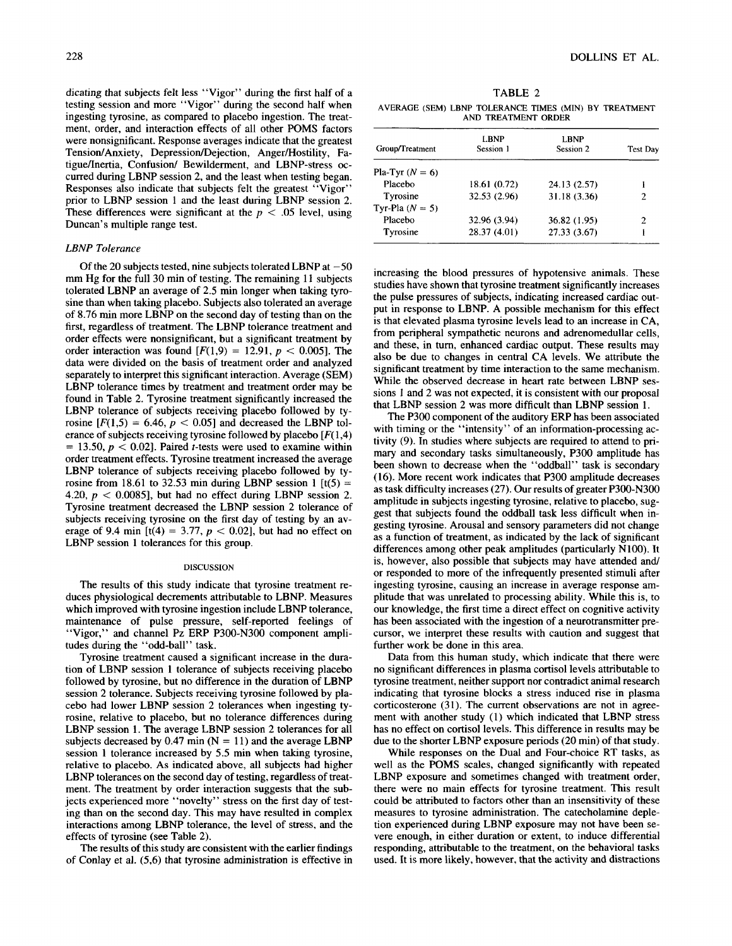dicating that subjects felt less "Vigor" during the first half of a testing session and more "Vigor" during the second half when ingesting tyrosine, as compared to placebo ingestion. The treatment, order, and interaction effects of all other POMS factors were nonsignificant. Response averages indicate that the greatest Tension/Anxiety, Depression/Dejection, Anger/Hostility, Fatigue/Inertia, Confusion/ Bewilderment, and LBNP-stress occurred during LBNP session 2, and the least when testing began. Responses also indicate that subjects felt the greatest "Vigor" prior to LBNP session 1 and the least during LBNP session 2. These differences were significant at the  $p < .05$  level, using Duncan's multiple range test.

## *LBNP Tolerance*

Of the 20 subjects tested, nine subjects tolerated LBNP at  $-50$ mm Hg for the full 30 min of testing. The remaining 11 subjects tolerated LBNP an average of 2.5 min longer when taking tyrosine than when taking placebo. Subjects also tolerated an average of 8.76 min more LBNP on the second day of testing than on the first, regardless of treatment. The LBNP tolerance treatment and order effects were nonsignificant, but a significant treatment by order interaction was found  $[F(1,9) = 12.91, p < 0.005]$ . The data were divided on the basis of treatment order and analyzed separately to interpret this significant interaction. Average (SEM) LBNP tolerance times by treatment and treatment order may be found in Table 2. Tyrosine treatment significantly increased the LBNP tolerance of subjects receiving placebo followed by tyrosine  $[F(1,5) = 6.46, p < 0.05]$  and decreased the LBNP tolerance of subjects receiving tyrosine followed by placebo  $[F(1,4)]$  $= 13.50, p < 0.02$ ]. Paired *t*-tests were used to examine within order treatment effects. Tyrosine treatment increased the average LBNP tolerance of subjects receiving placebo followed by tyrosine from 18.61 to 32.53 min during LBNP session 1  $[t(5) =$ 4.20,  $p < 0.0085$ , but had no effect during LBNP session 2. Tyrosine treatment decreased the LBNP session 2 tolerance of subjects receiving tyrosine on the first day of testing by an average of 9.4 min  $[t(4) = 3.77, p < 0.02]$ , but had no effect on LBNP session 1 tolerances for this group.

#### DISCUSSION

The results of this study indicate that tyrosine treatment reduces physiological decrements attributable to LBNP. Measures which improved with tyrosine ingestion include LBNP tolerance, maintenance of pulse pressure, self-reported feelings of "Vigor," and channel Pz ERP P300-N300 component amplitudes during the "odd-ball" task.

Tyrosine treatment caused a significant increase in the duration of LBNP session 1 tolerance of subjects receiving placebo followed by tyrosine, but no difference in the duration of LBNP session 2 tolerance. Subjects receiving tyrosine followed by placebo had lower LBNP session 2 tolerances when ingesting tyrosine, relative to placebo, but no tolerance differences during LBNP session 1. The average LBNP session 2 tolerances for all subjects decreased by 0.47 min  $(N = 11)$  and the average LBNP session 1 tolerance increased by 5.5 min when taking tyrosine, relative to placebo. As indicated above, all subjects had higher LBNP tolerances on the second day of testing, regardless of treatment. The treatment by order interaction suggests that the subjects experienced more "novelty" stress on the first day of testing than on the second day. This may have resulted in complex interactions among LBNP tolerance, the level of stress, and the effects of tyrosine (see Table 2).

The results of this study are consistent with the earlier findings of Conlay et al. (5,6) that tyrosine administration is effective in

AND TREATMENT ORDER

| Group/Treatment   | LBNP<br>Session 1 | LBNP<br>Session 2 | Test Day |
|-------------------|-------------------|-------------------|----------|
| Pla-Tyr $(N = 6)$ |                   |                   |          |
| Placebo           | 18.61 (0.72)      | 24.13 (2.57)      | i        |
| Tyrosine          | 32.53 (2.96)      | 31.18 (3.36)      | 2        |
| Tyr-Pla $(N = 5)$ |                   |                   |          |
| Placebo           | 32.96 (3.94)      | 36.82 (1.95)      | 2        |
| <b>Tyrosine</b>   | 28.37 (4.01)      | 27.33(3.67)       |          |

increasing the blood pressures of hypotensive animals. These studies have shown that tyrosine treatment significantly increases the pulse pressures of subjects, indicating increased cardiac output in response to LBNP. A possible mechanism for this effect is that elevated plasma tyrosine levels lead to an increase in CA, from peripheral sympathetic neurons and adrenomedullar cells, and these, in turn, enhanced cardiac output. These results may also be due to changes in central CA levels. We attribute the significant treatment by time interaction to the same mechanism. While the observed decrease in heart rate between LBNP sessions 1 and 2 was not expected, it is consistent with our proposal that LBNP session 2 was more difficult than LBNP session 1.

The P300 component of the auditory ERP has been associated with timing or the "intensity" of an information-processing activity (9). In studies where subjects are required to attend to primary and secondary tasks simultaneously, P300 amplitude has been shown to decrease when the "oddball" task is secondary (16). More recent work indicates that P300 amplitude decreases as task difficulty increases (27). Our results of greater P300-N300 amplitude in subjects ingesting tyrosine, relative to placebo, suggest that subjects found the oddball task less difficult when ingesting tyrosine. Arousal and sensory parameters did not change as a function of treatment, as indicated by the lack of significant differences among other peak amplitudes (particularly N100). It is, however, also possible that subjects may have attended and/ or responded to more of the infrequently presented stimuli after ingesting tyrosine, causing an increase in average response amplitude that was unrelated to processing ability. While this is, to our knowledge, the first time a direct effect on cognitive activity has been associated with the ingestion of a neurotransmitter precursor, we interpret these results with caution and suggest that further work be done in this area.

Data from this human study, which indicate that there were no significant differences in plasma cortisol levels attributable to tyrosine treatment, neither support nor contradict animal research indicating that tyrosine blocks a stress induced rise in plasma corticosterone (31). The current observations are not in agreement with another study (1) which indicated that LBNP stress has no effect on cortisol levels. This difference in results may be due to the shorter LBNP exposure periods (20 min) of that study.

While responses on the Dual and Four-choice RT tasks, as well as the POMS scales, changed significantly with repeated LBNP exposure and sometimes changed with treatment order, there were no main effects for tyrosine treatment. This result could be attributed to factors other than an insensitivity of these measures to tyrosine administration. The catecholamine depletion experienced during LBNP exposure may not have been severe enough, in either duration or extent, to induce differential responding, attributable to the treatment, on the behavioral tasks used. It is more likely, however, that the activity and distractions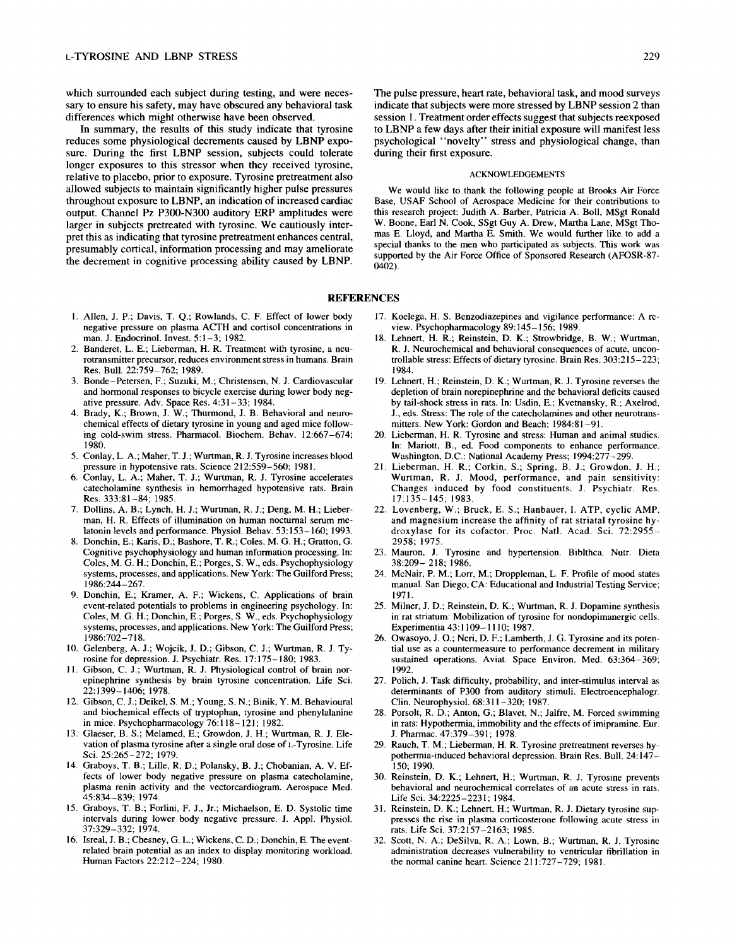which surrounded each subject during testing, and were necessary to ensure his safety, may have obscured any behavioral task differences which might otherwise have been observed.

In summary, the results of this study indicate that tyrosine reduces some physiological decrements caused by LBNP exposure. During the first LBNP session, subjects could tolerate longer exposures to this stressor when they received tyrosine, relative to placebo, prior to exposure. Tyrosine pretreatment also allowed subjects to maintain significantly higher pulse pressures throughout exposure to LBNP, an indication of increased cardiac output. Channel Pz P300-N300 auditory ERP amplitudes were larger in subjects pretreated with tyrosine. We cautiously interpret this as indicating that tyrosine pretreatment enhances central, presumably cortical, information processing and may ameliorate the decrement in cognitive processing ability caused by LBNP.

- 1. Allen, J. P.; Davis, T. Q.; Rowlands, C. F. Effect of lower body negative pressure on plasma ACTH and cortisol concentrations in man. J. Endocrinol. Invest. 5:1-3; 1982.
- 2. Banderet, L. E.; Lieberman, H. R. Treatment with tyrosine, a neurotransmitter precursor, reduces environment stress in humans. Brain Res. Bull. 22:759-762; 1989.
- 3. Bonde-Petersen, F.; Suzuki, M.; Christensen, N. J. Cardiovascular and hormonal responses to bicycle exercise during lower body negative pressure. Adv. Space Res. 4:31-33; 1984.
- 4. Brady, K.; Brown, J. W.; Thurmond, J. B. Behavioral and neurochemical effects of dietary tyrosine in young and aged mice following cold-swim stress. Pharmacol. Biochem. Behav. 12:667-674; 1980.
- 5. Conlay, L. A.; Maher, T. J.; Wurtman, R. J. Tyrosine increases blood pressure in hypotensive rats. Science 212:559-560; 1981.
- 6. Conlay, L. A.; Maher, T. J.; Wurtman, R. J. Tyrosine accelerates catecholamine synthesis in hemorrhaged hypotensive rats. Brain Res. 333:81-84; 1985.
- 7. Dollins, A. B.; Lynch, H. J.; Wurtman, R. J.; Deng, M. H.; Lieberman, H. R. Effects of illumination on human nocturnal serum melatonin levels and performance. Physiol. Behav. 53:153-160; 1993.
- 8. Donchin, E.; Karis, D.; Bashore, T. R.; Coles, M. G. H.; Gratton, G. Cognitive psychophysiology and human information processing. In: Coles, M. G. H.; Donchin, E.; Porges, S. W., eds. Psychophysiology systems, processes, and applications. New York: The Guilford Press; 1986:244-267.
- 9. Donchin, E.; Kramer, A. F.; Wickens, C. Applications of brain event-related potentials to problems in engineering psychology. In: Coles, M. G. H.; Donchin, E.; Porges, S. W., eds. Psychophysiology systems, processes, and applications. New York: The Guilford Press; 1986:702-718.
- 10. Gelenberg, A. J.; Wojcik, J. D.; Gibson, C. J.; Wurtman, R. J. Tyrosine for depression. J. Psychiatr. Res. 17:175-180; 1983.
- 11. Gibson, C. J.; Wurtman, R. J. Physiological control of brain norepinephrine synthesis by brain tyrosine concentration. Life Sci. 22:1399-1406; 1978.
- 12. Gibson, C. J.; Deikel, S. M.; Young, S. N.; Binik, Y. M. Behavioural and biochemical effects of tryptophan, tyrosine and phenylalanine in mice. Psychopharmacology 76:118-121; 1982.
- 13. Glaeser, B. S.; Melamed, E.; Growdon, J. H.; Wurtman, R. J. Elevation of plasma tyrosine after a single oral dose of L-Tyrosine. Life Sci. 25:265-272; 1979.
- 14. Graboys, T. B.; Lille, R. D.; Polansky, B. J.; Chobanian, A. V. Effects of lower body negative pressure on plasma catecholamine, plasma renin activity and the vectorcardiogram. Aerospace Med. 45:834-839; 1974.
- 15. Graboys, T. B.; Forlini, F. J., Jr.; Michaelson, E. D. Systolic time intervals during lower body negative pressure. J. Appl. Physiol. 37:329-332; 1974.
- 16. Isreal, J. B.; Chesney, G. L.; Wickens, C. D.; Donchin, E. The eventrelated brain potential as an index to display monitoring workload. Human Factors 22:212-224; 1980.

The pulse pressure, heart rate, behavioral task, and mood surveys indicate that subjects were more stressed by LBNP session 2 than session 1. Treatment order effects suggest that subjects reexposed to LBNP a few days after their initial exposure will manifest less psychological "novelty" stress and physiological change, than during their first exposure.

#### ACKNOWLEDGEMENTS

We would like to thank the following people at Brooks Air Force Base, USAF School of Aerospace Medicine for their contributions to this research project: Judith A. Barber, Patricia A. Boll, MSgt Ronald W. Boone, Earl N. Cook, SSgt Guy A. Drew, Martha Lane, MSgt Thomas E. Lloyd, and Martha E. Smith. We would further like to add a special thanks to the men who participated as subjects. This work was supported by the Air Force Office of Sponsored Research (AFOSR-87- 0402).

## **REFERENCES**

- 17. Koelega, H. S. Benzodiazepines and vigilance performance: A review. Psychopharmacology 89:145-156; 1989.
- 18. Lehnert, H. R.; Reinstein, D. K.; Strowbridge, B. W.; Wurtman, R. J. Neurochemical and behavioral consequences of acute, uncontrollable stress: Effects of dietary tyrosine. Brain Res. 303:215-223; **1984.**
- 19. Lehnert, H.; Reinstein, D. K.; Wurtman, R. J. Tyrosine reverses the depletion of brain norepinephrine and the behavioral deficits caused by tail-shock stress in rats. In: Usdin, E.; Kvetnansky, R.; Axelrod, J., eds. Stress: The role of the catecholamines and other neurotransmitters. New York: Gordon and Beach; 1984:81-91.
- 20. Lieberman, H. R. Tyrosine and stress: Human and animal studies. In: Mariott, B., ed. Food components to enhance performance. Washington, D.C.: National Academy Press; 1994:277-299.
- 21. Lieberman, H. R.; Corkin, S.; Spring, B. J.; Growdon, J. H.; Wurtman, R. J. Mood, performance, and pain sensitivity: Changes induced by food constituents. J. Psychiatr. Res. 17:135-145; 1983.
- 22. Lovenberg, W.; Bruck, E. S.; Hanbauer, I. ATP, cyclic AMP, and magnesium increase the affinity of rat striatal tyrosine hydroxylase for its cofactor. Proc. Natl. Acad. Sci. 72:2955- 2958; 1975.
- 23. Mauron, J. Tyrosine and hypertension. Biblthca. Nutr. Dieta 38:209- 218; 1986.
- 24. McNair, P. M.; Lorr, M.; Droppleman, L. F. Profile of mood states manual. San Diego, CA: Educational and Industrial Testing Service; 1971.
- 25. Milner, J. D.; Reinstein, D. K.; Wurtman, R. J. Dopamine synthesis in rat striatum: Mobilization of tyrosine for nondopimanergic cells. Experimentia 43:1109-1110; 1987.
- 26. Owasoyo, J. O.; Neri, D. F.; Lamberth, J. G. Tyrosine and its potential use as a countermeasure to performance decrement in military sustained operations. Aviat. Space Environ. Med. 63:364-369; 1992.
- 27. Polich, J. Task difficulty, probability, and inter-stimulus interval as determinants of P300 from auditory stimuli. Electroencephalogr. Clin. Neurophysiol. 68:311-320; 1987.
- 28. Porsolt, R. D.; Anton, G.; Blavet, N.; Jalfre, M. Forced swimming in rats: Hypothermia, immobility and the effects of imipramine. Eur. J. Pharmac. 47:379-391; 1978.
- 29. Rauch, T. M.; Lieberman, H. R. Tyrosine pretreatment reverses hypothermia-induced behavioral depression. Brain Res. Bull. 24:147- 150; 1990.
- 30. Reinstein, D. K.; Lehnert, H.; Wurtman, R. J. Tyrosine prevents behavioral and neurochemical correlates of an acute stress in rats. Life Sci. 34:2225-2231; 1984.
- 31. Reinstein, D. K.; Lehnert, H.; Wurtman, R. J. Dietary tyrosine suppresses the rise in plasma corticosterone following acute stress in rats. Life Sci. 37:2157-2163; 1985.
- 32. Scott, N. A.; DeSilva, R. A.; Lown, B.; Wurtman, R. J. Tyrosine administration decreases vulnerability to ventricular fibrillation in the normal canine heart. Science 211:727-729; 1981.